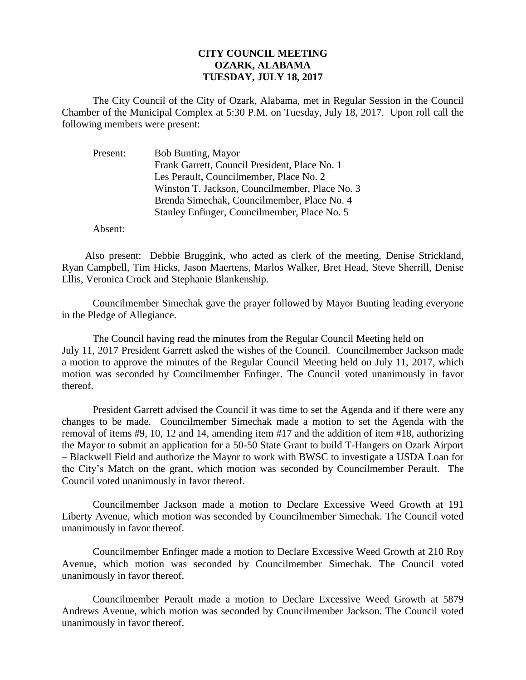## **CITY COUNCIL MEETING OZARK, ALABAMA TUESDAY, JULY 18, 2017**

The City Council of the City of Ozark, Alabama, met in Regular Session in the Council Chamber of the Municipal Complex at 5:30 P.M. on Tuesday, July 18, 2017. Upon roll call the following members were present:

| Bob Bunting, Mayor                             |
|------------------------------------------------|
| Frank Garrett, Council President, Place No. 1  |
| Les Perault, Councilmember, Place No. 2        |
| Winston T. Jackson, Councilmember, Place No. 3 |
| Brenda Simechak, Councilmember, Place No. 4    |
| Stanley Enfinger, Councilmember, Place No. 5   |
|                                                |

Absent:

Also present: Debbie Bruggink, who acted as clerk of the meeting, Denise Strickland, Ryan Campbell, Tim Hicks, Jason Maertens, Marlos Walker, Bret Head, Steve Sherrill, Denise Ellis, Veronica Crock and Stephanie Blankenship.

Councilmember Simechak gave the prayer followed by Mayor Bunting leading everyone in the Pledge of Allegiance.

The Council having read the minutes from the Regular Council Meeting held on July 11, 2017 President Garrett asked the wishes of the Council. Councilmember Jackson made a motion to approve the minutes of the Regular Council Meeting held on July 11, 2017, which motion was seconded by Councilmember Enfinger. The Council voted unanimously in favor thereof.

President Garrett advised the Council it was time to set the Agenda and if there were any changes to be made. Councilmember Simechak made a motion to set the Agenda with the removal of items #9, 10, 12 and 14, amending item #17 and the addition of item #18, authorizing the Mayor to submit an application for a 50-50 State Grant to build T-Hangers on Ozark Airport – Blackwell Field and authorize the Mayor to work with BWSC to investigate a USDA Loan for the City's Match on the grant, which motion was seconded by Councilmember Perault. The Council voted unanimously in favor thereof.

Councilmember Jackson made a motion to Declare Excessive Weed Growth at 191 Liberty Avenue, which motion was seconded by Councilmember Simechak. The Council voted unanimously in favor thereof.

Councilmember Enfinger made a motion to Declare Excessive Weed Growth at 210 Roy Avenue, which motion was seconded by Councilmember Simechak. The Council voted unanimously in favor thereof.

Councilmember Perault made a motion to Declare Excessive Weed Growth at 5879 Andrews Avenue, which motion was seconded by Councilmember Jackson. The Council voted unanimously in favor thereof.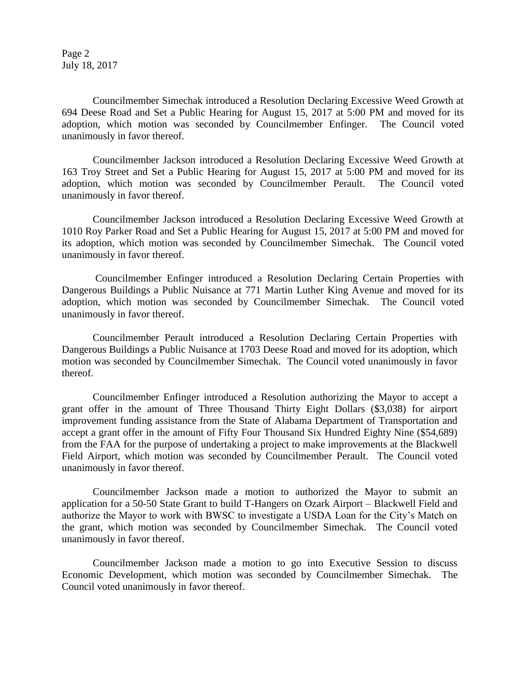Page 2 July 18, 2017

Councilmember Simechak introduced a Resolution Declaring Excessive Weed Growth at 694 Deese Road and Set a Public Hearing for August 15, 2017 at 5:00 PM and moved for its adoption, which motion was seconded by Councilmember Enfinger. The Council voted unanimously in favor thereof.

Councilmember Jackson introduced a Resolution Declaring Excessive Weed Growth at 163 Troy Street and Set a Public Hearing for August 15, 2017 at 5:00 PM and moved for its adoption, which motion was seconded by Councilmember Perault. The Council voted unanimously in favor thereof.

Councilmember Jackson introduced a Resolution Declaring Excessive Weed Growth at 1010 Roy Parker Road and Set a Public Hearing for August 15, 2017 at 5:00 PM and moved for its adoption, which motion was seconded by Councilmember Simechak. The Council voted unanimously in favor thereof.

Councilmember Enfinger introduced a Resolution Declaring Certain Properties with Dangerous Buildings a Public Nuisance at 771 Martin Luther King Avenue and moved for its adoption, which motion was seconded by Councilmember Simechak. The Council voted unanimously in favor thereof.

Councilmember Perault introduced a Resolution Declaring Certain Properties with Dangerous Buildings a Public Nuisance at 1703 Deese Road and moved for its adoption, which motion was seconded by Councilmember Simechak. The Council voted unanimously in favor thereof.

Councilmember Enfinger introduced a Resolution authorizing the Mayor to accept a grant offer in the amount of Three Thousand Thirty Eight Dollars (\$3,038) for airport improvement funding assistance from the State of Alabama Department of Transportation and accept a grant offer in the amount of Fifty Four Thousand Six Hundred Eighty Nine (\$54,689) from the FAA for the purpose of undertaking a project to make improvements at the Blackwell Field Airport, which motion was seconded by Councilmember Perault. The Council voted unanimously in favor thereof.

Councilmember Jackson made a motion to authorized the Mayor to submit an application for a 50-50 State Grant to build T-Hangers on Ozark Airport – Blackwell Field and authorize the Mayor to work with BWSC to investigate a USDA Loan for the City's Match on the grant, which motion was seconded by Councilmember Simechak. The Council voted unanimously in favor thereof.

Councilmember Jackson made a motion to go into Executive Session to discuss Economic Development, which motion was seconded by Councilmember Simechak. The Council voted unanimously in favor thereof.